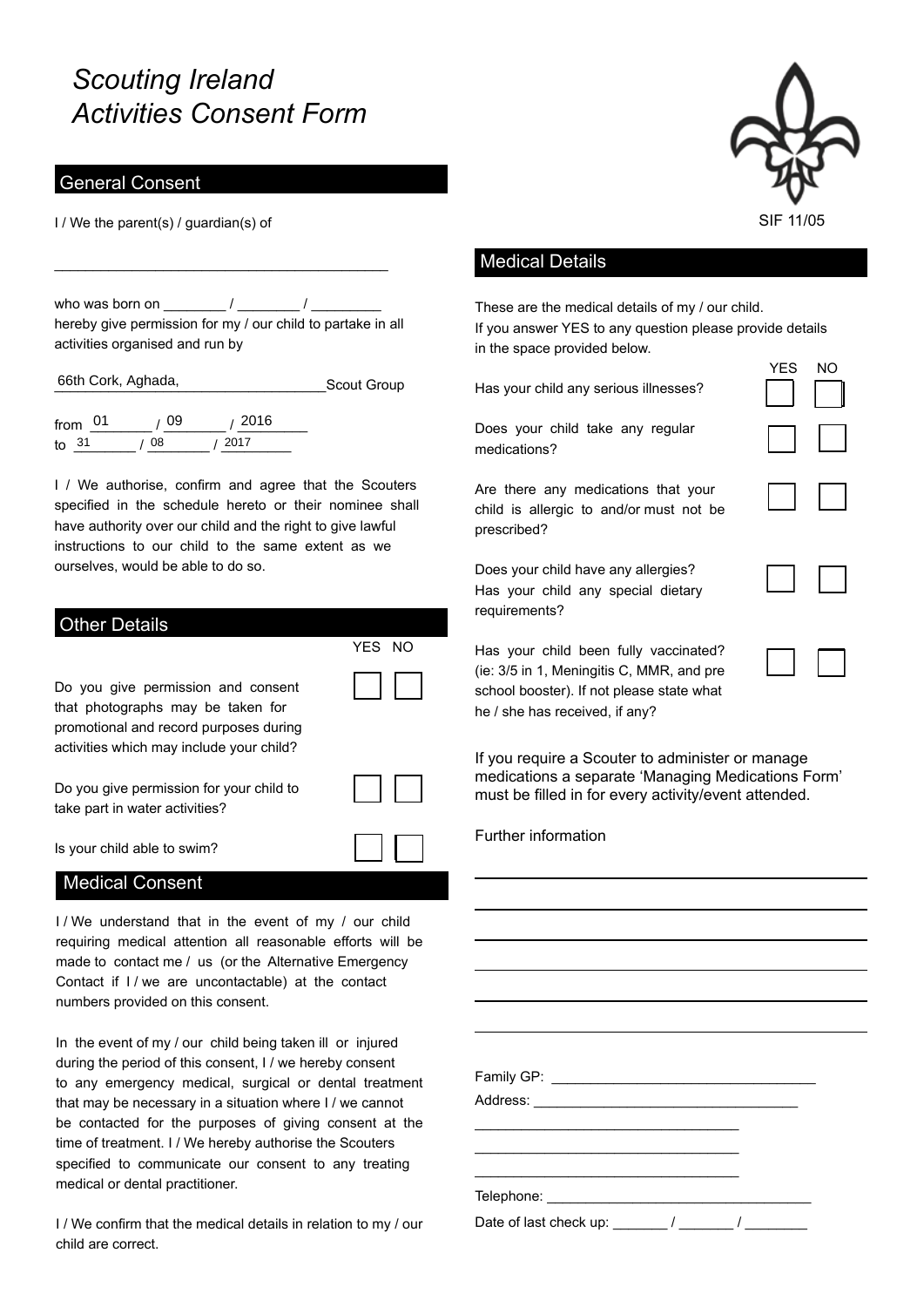# *Scouting Ireland Activities Consent Form*

### General Consent

I / We the parent(s) / guardian(s) of

who was born on  $\frac{1}{2}$  /  $\frac{1}{2}$ hereby give permission for my / our child to partake in all activities organised and run by

\_\_\_\_\_\_\_\_\_\_\_\_\_\_\_\_\_\_\_\_\_\_\_\_\_\_\_\_\_\_\_\_\_\_\_\_\_\_\_\_\_\_\_

\_\_\_\_\_\_\_\_\_\_\_\_\_\_\_\_\_\_\_\_\_\_\_\_\_\_\_\_\_\_\_\_\_\_\_Scout Group 66th Cork, Aghada,

from \_\_\_\_\_\_\_\_ / \_\_\_\_\_\_\_\_ / \_\_\_\_\_\_\_\_\_ to  $\frac{31}{108}$  /  $\frac{2017}{100}$  $108$ 

I / We authorise, confirm and agree that the Scouters specified in the schedule hereto or their nominee shall have authority over our child and the right to give lawful instructions to our child to the same extent as we ourselves, would be able to do so.

| <b>Other Details</b>                                                                                                                                          |        |
|---------------------------------------------------------------------------------------------------------------------------------------------------------------|--------|
|                                                                                                                                                               | YES NO |
| Do you give permission and consent<br>that photographs may be taken for<br>promotional and record purposes during<br>activities which may include your child? |        |
| Do you give permission for your child to<br>take part in water activities?                                                                                    |        |
| Is your child able to swim?                                                                                                                                   |        |
| <b>Medical Consent</b>                                                                                                                                        |        |

I/ We understand that in the event of my / our child requiring medical attention all reasonable efforts will be made to contact me / us (or the Alternative Emergency Contact if I / we are uncontactable) at the contact numbers provided on this consent.

In the event of my / our child being taken ill or injured during the period of this consent, I / we hereby consent to any emergency medical, surgical or dental treatment that may be necessary in a situation where I / we cannot be contacted for the purposes of giving consent at the time of treatment. I / We hereby authorise the Scouters specified to communicate our consent to any treating medical or dental practitioner.

I / We confirm that the medical details in relation to my / our child are correct.



YES NO

#### Medical Details

These are the medical details of my / our child. If you answer YES to any question please provide details in the space provided below.

Has your child any serious illnesses?

Does your child take any regular medications?

Are there any medications that your child is allergic to and/or must not be prescribed?

Does your child have any allergies? Has your child any special dietary requirements?

| I |  |
|---|--|

Has your child been fully vaccinated? (ie: 3/5 in 1, Meningitis C, MMR, and pre school booster). If not please state what he / she has received, if any?

If you require a Scouter to administer or manage medications a separate 'Managing Medications Form' must be filled in for every activity/event attended.

Further information

Family GP: \_\_\_\_\_\_\_\_\_\_\_\_\_\_\_\_\_\_\_\_\_\_\_\_\_\_\_\_\_\_\_\_\_\_ Address: \_\_\_\_\_\_\_\_\_\_\_\_\_\_\_\_\_\_\_\_\_\_\_\_\_\_\_\_\_\_\_\_\_\_ \_\_\_\_\_\_\_\_\_\_\_\_\_\_\_\_\_\_\_\_\_\_\_\_\_\_\_\_\_\_\_\_\_\_ \_\_\_\_\_\_\_\_\_\_\_\_\_\_\_\_\_\_\_\_\_\_\_\_\_\_\_\_\_\_\_\_\_\_ Telephone: \_\_\_\_\_\_\_\_\_\_\_\_\_\_\_\_\_\_\_\_\_\_\_\_\_\_\_\_\_\_\_\_\_\_ Date of last check up:  $\frac{1}{2}$  /  $\frac{1}{2}$